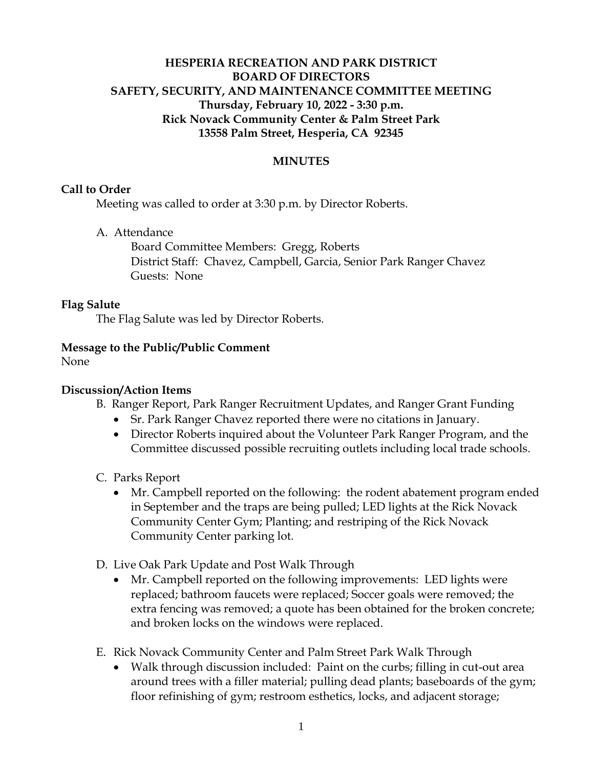# **HESPERIA RECREATION AND PARK DISTRICT BOARD OF DIRECTORS SAFETY, SECURITY, AND MAINTENANCE COMMITTEE MEETING Thursday, February 10, 2022 - 3:30 p.m. Rick Novack Community Center & Palm Street Park 13558 Palm Street, Hesperia, CA 92345**

## **MINUTES**

#### **Call to Order**

Meeting was called to order at 3:30 p.m. by Director Roberts.

A. Attendance

Board Committee Members: Gregg, Roberts District Staff: Chavez, Campbell, Garcia, Senior Park Ranger Chavez Guests: None

### **Flag Salute**

The Flag Salute was led by Director Roberts.

### **Message to the Public/Public Comment**

None

## **Discussion/Action Items**

- B. Ranger Report, Park Ranger Recruitment Updates, and Ranger Grant Funding
	- Sr. Park Ranger Chavez reported there were no citations in January.
	- Director Roberts inquired about the Volunteer Park Ranger Program, and the Committee discussed possible recruiting outlets including local trade schools.
- C. Parks Report
	- Mr. Campbell reported on the following: the rodent abatement program ended in September and the traps are being pulled; LED lights at the Rick Novack Community Center Gym; Planting; and restriping of the Rick Novack Community Center parking lot.
- D. Live Oak Park Update and Post Walk Through
	- Mr. Campbell reported on the following improvements: LED lights were replaced; bathroom faucets were replaced; Soccer goals were removed; the extra fencing was removed; a quote has been obtained for the broken concrete; and broken locks on the windows were replaced.
- E. Rick Novack Community Center and Palm Street Park Walk Through
	- Walk through discussion included: Paint on the curbs; filling in cut-out area around trees with a filler material; pulling dead plants; baseboards of the gym; floor refinishing of gym; restroom esthetics, locks, and adjacent storage;